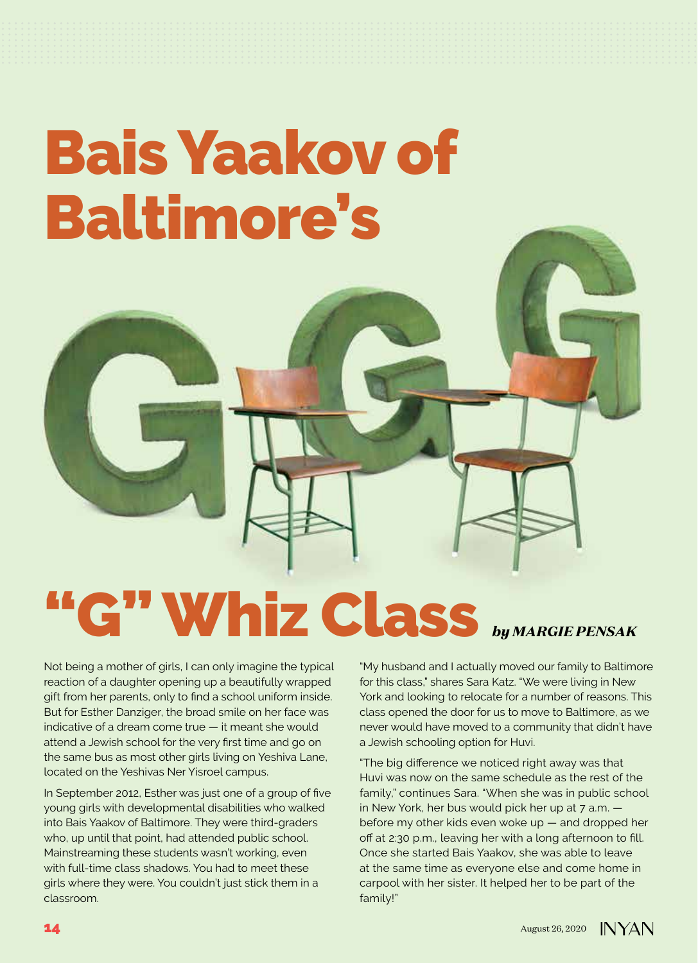## Bais Yaakov of Baltimore's

# "G" Whiz Class *by MARGIE PENSAK*

Not being a mother of girls, I can only imagine the typical reaction of a daughter opening up a beautifully wrapped gift from her parents, only to find a school uniform inside. But for Esther Danziger, the broad smile on her face was indicative of a dream come true — it meant she would attend a Jewish school for the very first time and go on the same bus as most other girls living on Yeshiva Lane, located on the Yeshivas Ner Yisroel campus.

In September 2012, Esther was just one of a group of five young girls with developmental disabilities who walked into Bais Yaakov of Baltimore. They were third-graders who, up until that point, had attended public school. Mainstreaming these students wasn't working, even with full-time class shadows. You had to meet these girls where they were. You couldn't just stick them in a classroom.

#### "My husband and I actually moved our family to Baltimore for this class," shares Sara Katz. "We were living in New York and looking to relocate for a number of reasons. This class opened the door for us to move to Baltimore, as we never would have moved to a community that didn't have a Jewish schooling option for Huvi.

"The big difference we noticed right away was that Huvi was now on the same schedule as the rest of the family," continues Sara. "When she was in public school in New York, her bus would pick her up at 7 a.m. before my other kids even woke up — and dropped her off at 2:30 p.m., leaving her with a long afternoon to fill. Once she started Bais Yaakov, she was able to leave at the same time as everyone else and come home in carpool with her sister. It helped her to be part of the family!"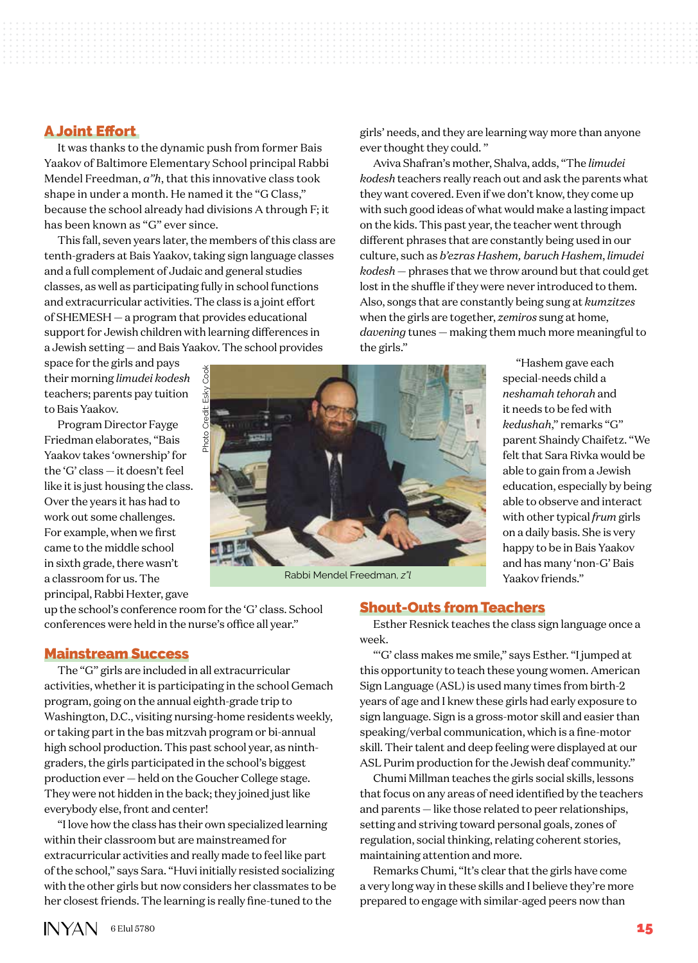### A Joint Effort

It was thanks to the dynamic push from former Bais Yaakov of Baltimore Elementary School principal Rabbi Mendel Freedman, *a"h*, that this innovative class took shape in under a month. He named it the "G Class," because the school already had divisions A through F; it has been known as "G" ever since.

This fall, seven years later, the members of this class are tenth-graders at Bais Yaakov, taking sign language classes and a full complement of Judaic and general studies classes, as well as participating fully in school functions and extracurricular activities. The class is a joint effort of SHEMESH — a program that provides educational support for Jewish children with learning differences in a Jewish setting — and Bais Yaakov. The school provides

space for the girls and pays their morning *limudei kodesh* teachers; parents pay tuition to Bais Yaakov.

Program Director Fayge Friedman elaborates, "Bais Yaakov takes 'ownership' for the 'G' class — it doesn't feel like it is just housing the class. Over the years it has had to work out some challenges. For example, when we first came to the middle school in sixth grade, there wasn't a classroom for us. The principal, Rabbi Hexter, gave



the girls."

Rabbi Mendel Freedman, *z"l* 

"Hashem gave each special-needs child a *neshamah tehorah* and it needs to be fed with *kedushah*," remarks "G" parent Shaindy Chaifetz. "We felt that Sara Rivka would be able to gain from a Jewish education, especially by being able to observe and interact with other typical *frum* girls on a daily basis. She is very happy to be in Bais Yaakov and has many 'non-G' Bais Yaakov friends."

up the school's conference room for the 'G' class. School conferences were held in the nurse's office all year."

#### Mainstream Success

The "G" girls are included in all extracurricular activities, whether it is participating in the school Gemach program, going on the annual eighth-grade trip to Washington, D.C., visiting nursing-home residents weekly, or taking part in the bas mitzvah program or bi-annual high school production. This past school year, as ninthgraders, the girls participated in the school's biggest production ever — held on the Goucher College stage. They were not hidden in the back; they joined just like everybody else, front and center!

"I love how the class has their own specialized learning within their classroom but are mainstreamed for extracurricular activities and really made to feel like part of the school," says Sara. "Huvi initially resisted socializing with the other girls but now considers her classmates to be her closest friends. The learning is really fine-tuned to the

#### Shout-Outs from Teachers

Esther Resnick teaches the class sign language once a week.

girls' needs, and they are learning way more than anyone

Aviva Shafran's mother, Shalva, adds, "The *limudei kodesh* teachers really reach out and ask the parents what they want covered. Even if we don't know, they come up with such good ideas of what would make a lasting impact on the kids. This past year, the teacher went through different phrases that are constantly being used in our culture, such as *b'ezras Hashem, baruch Hashem*, *limudei kodesh* — phrases that we throw around but that could get lost in the shuffle if they were never introduced to them. Also, songs that are constantly being sung at *kumzitzes* when the girls are together, *zemiros* sung at home, *davening* tunes — making them much more meaningful to

ever thought they could. "

"'G' class makes me smile," says Esther. "I jumped at this opportunity to teach these young women. American Sign Language (ASL) is used many times from birth-2 years of age and I knew these girls had early exposure to sign language. Sign is a gross-motor skill and easier than speaking/verbal communication, which is a fine-motor skill. Their talent and deep feeling were displayed at our ASL Purim production for the Jewish deaf community."

Chumi Millman teaches the girls social skills, lessons that focus on any areas of need identified by the teachers and parents — like those related to peer relationships, setting and striving toward personal goals, zones of regulation, social thinking, relating coherent stories, maintaining attention and more.

Remarks Chumi, "It's clear that the girls have come a very long way in these skills and I believe they're more prepared to engage with similar-aged peers now than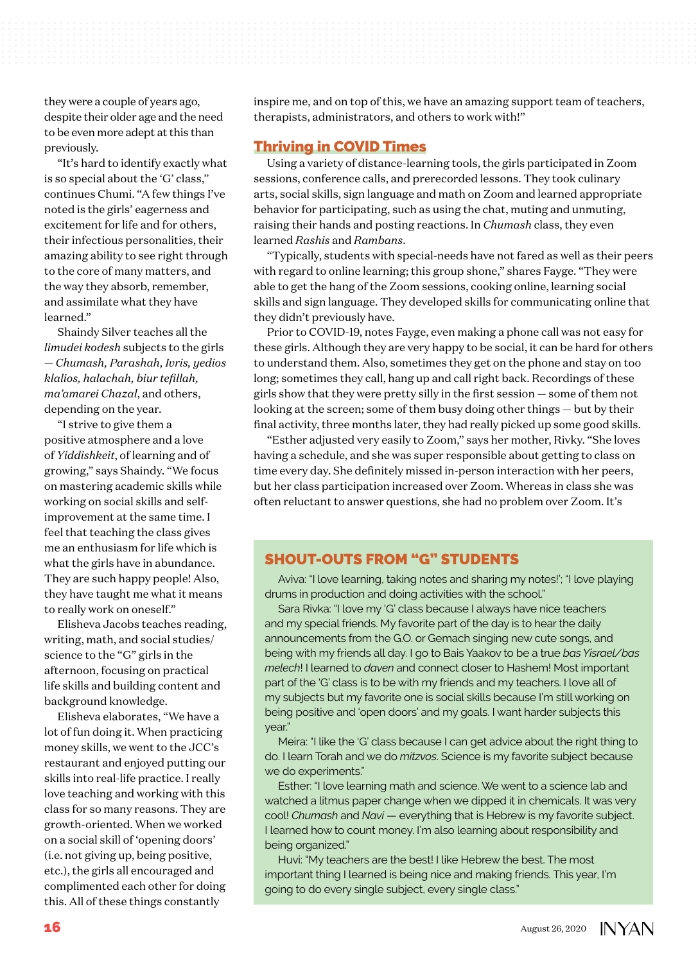they were a couple of years ago, despite their older age and the need to be even more adept at this than previously.

"It's hard to identify exactly what is so special about the 'G' class," continues Chumi. "A few things I've noted is the girls' eagerness and excitement for life and for others, their infectious personalities, their amazing ability to see right through to the core of many matters, and the way they absorb, remember, and assimilate what they have learned."

Shaindy Silver teaches all the *limudei kodesh* subjects to the girls — *Chumash, Parashah, Ivris, yedios klalios, halachah, biur tefillah, ma'amarei Chazal*, and others, depending on the year.

"I strive to give them a positive atmosphere and a love of *Yiddishkeit*, of learning and of growing," says Shaindy. "We focus on mastering academic skills while working on social skills and selfimprovement at the same time. I feel that teaching the class gives me an enthusiasm for life which is what the girls have in abundance. They are such happy people! Also, they have taught me what it means to really work on oneself."

Elisheva Jacobs teaches reading, writing, math, and social studies/ science to the "G" girls in the afternoon, focusing on practical life skills and building content and background knowledge.

Elisheva elaborates, "We have a lot of fun doing it. When practicing money skills, we went to the JCC's restaurant and enjoyed putting our skills into real-life practice. I really love teaching and working with this class for so many reasons. They are growth-oriented. When we worked on a social skill of 'opening doors' (i.e. not giving up, being positive, etc.), the girls all encouraged and complimented each other for doing this. All of these things constantly

inspire me, and on top of this, we have an amazing support team of teachers, therapists, administrators, and others to work with!"

#### Thriving in COVID Times

Using a variety of distance-learning tools, the girls participated in Zoom sessions, conference calls, and prerecorded lessons. They took culinary arts, social skills, sign language and math on Zoom and learned appropriate behavior for participating, such as using the chat, muting and unmuting, raising their hands and posting reactions. In *Chumash* class, they even learned *Rashis* and *Rambans*.

"Typically, students with special-needs have not fared as well as their peers with regard to online learning; this group shone," shares Fayge. "They were able to get the hang of the Zoom sessions, cooking online, learning social skills and sign language. They developed skills for communicating online that they didn't previously have.

Prior to COVID-19, notes Fayge, even making a phone call was not easy for these girls. Although they are very happy to be social, it can be hard for others to understand them. Also, sometimes they get on the phone and stay on too long; sometimes they call, hang up and call right back. Recordings of these girls show that they were pretty silly in the first session — some of them not looking at the screen; some of them busy doing other things — but by their final activity, three months later, they had really picked up some good skills.

"Esther adjusted very easily to Zoom," says her mother, Rivky. "She loves having a schedule, and she was super responsible about getting to class on time every day. She definitely missed in-person interaction with her peers, but her class participation increased over Zoom. Whereas in class she was often reluctant to answer questions, she had no problem over Zoom. It's

#### SHOUT-OUTS FROM "G" STUDENTS

Aviva: "I love learning, taking notes and sharing my notes!'; "I love playing drums in production and doing activities with the school."

Sara Rivka: "I love my 'G' class because I always have nice teachers and my special friends. My favorite part of the day is to hear the daily announcements from the G.O. or Gemach singing new cute songs, and being with my friends all day. I go to Bais Yaakov to be a true *bas Yisrael/bas melech*! I learned to *daven* and connect closer to Hashem! Most important part of the 'G' class is to be with my friends and my teachers. I love all of my subjects but my favorite one is social skills because I'm still working on being positive and 'open doors' and my goals. I want harder subjects this year."

Meira: "I like the 'G' class because I can get advice about the right thing to do. I learn Torah and we do *mitzvos*. Science is my favorite subject because we do experiments."

Esther: "I love learning math and science. We went to a science lab and watched a litmus paper change when we dipped it in chemicals. It was very cool! *Chumash* and *Navi* — everything that is Hebrew is my favorite subject. I learned how to count money. I'm also learning about responsibility and being organized."

Huvi: "My teachers are the best! I like Hebrew the best. The most important thing I learned is being nice and making friends. This year, I'm going to do every single subject, every single class."